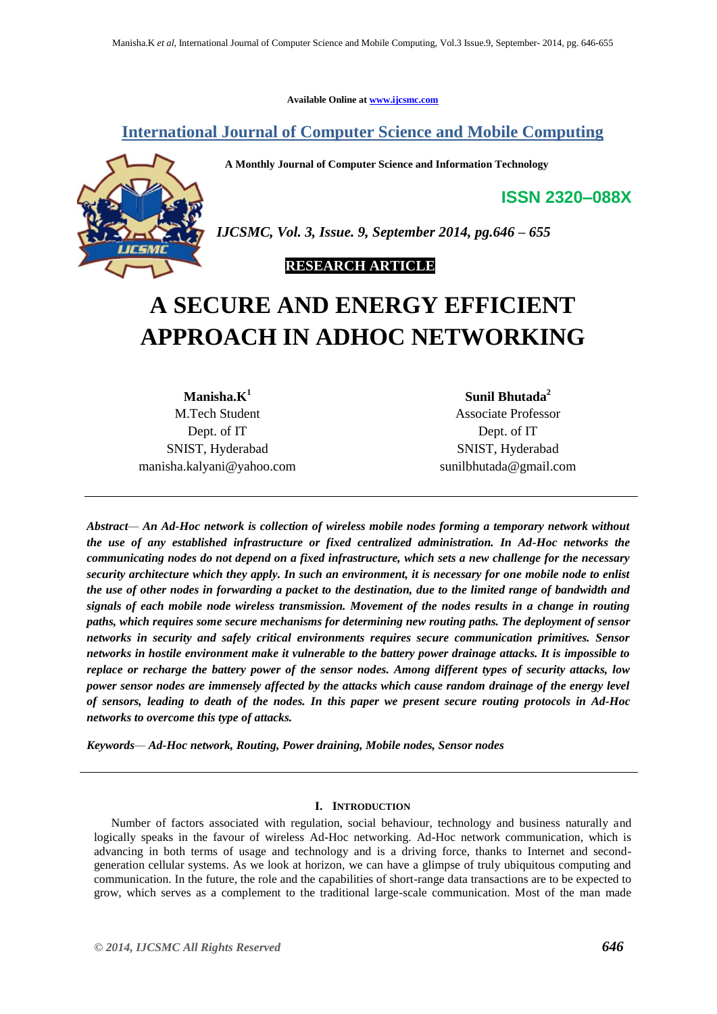**Available Online at [www.ijcsmc.com](http://www.ijcsmc.com/)**

# **International Journal of Computer Science and Mobile Computing**

 **A Monthly Journal of Computer Science and Information Technology**



*IJCSMC, Vol. 3, Issue. 9, September 2014, pg.646 – 655*

# **RESEARCH ARTICLE**

# **A SECURE AND ENERGY EFFICIENT APPROACH IN ADHOC NETWORKING**

# **Manisha.K<sup>1</sup>**

M.Tech Student Dept. of IT SNIST, Hyderabad manisha.kalyani@yahoo.com

**Sunil Bhutada<sup>2</sup>** Associate Professor Dept. of IT SNIST, Hyderabad sunilbhutada@gmail.com

**ISSN 2320–088X**

*Abstract— An Ad-Hoc network is collection of wireless mobile nodes forming a temporary network without the use of any established infrastructure or fixed centralized administration. In Ad-Hoc networks the communicating nodes do not depend on a fixed infrastructure, which sets a new challenge for the necessary security architecture which they apply. In such an environment, it is necessary for one mobile node to enlist the use of other nodes in forwarding a packet to the destination, due to the limited range of bandwidth and signals of each mobile node wireless transmission. Movement of the nodes results in a change in routing paths, which requires some secure mechanisms for determining new routing paths. The deployment of sensor networks in security and safely critical environments requires secure communication primitives. Sensor networks in hostile environment make it vulnerable to the battery power drainage attacks. It is impossible to replace or recharge the battery power of the sensor nodes. Among different types of security attacks, low power sensor nodes are immensely affected by the attacks which cause random drainage of the energy level of sensors, leading to death of the nodes. In this paper we present secure routing protocols in Ad-Hoc networks to overcome this type of attacks.*

*Keywords— Ad-Hoc network, Routing, Power draining, Mobile nodes, Sensor nodes*

# **I. INTRODUCTION**

Number of factors associated with regulation, social behaviour, technology and business naturally and logically speaks in the favour of wireless Ad-Hoc networking. Ad-Hoc network communication, which is advancing in both terms of usage and technology and is a driving force, thanks to Internet and secondgeneration cellular systems. As we look at horizon, we can have a glimpse of truly ubiquitous computing and communication. In the future, the role and the capabilities of short-range data transactions are to be expected to grow, which serves as a complement to the traditional large-scale communication. Most of the man made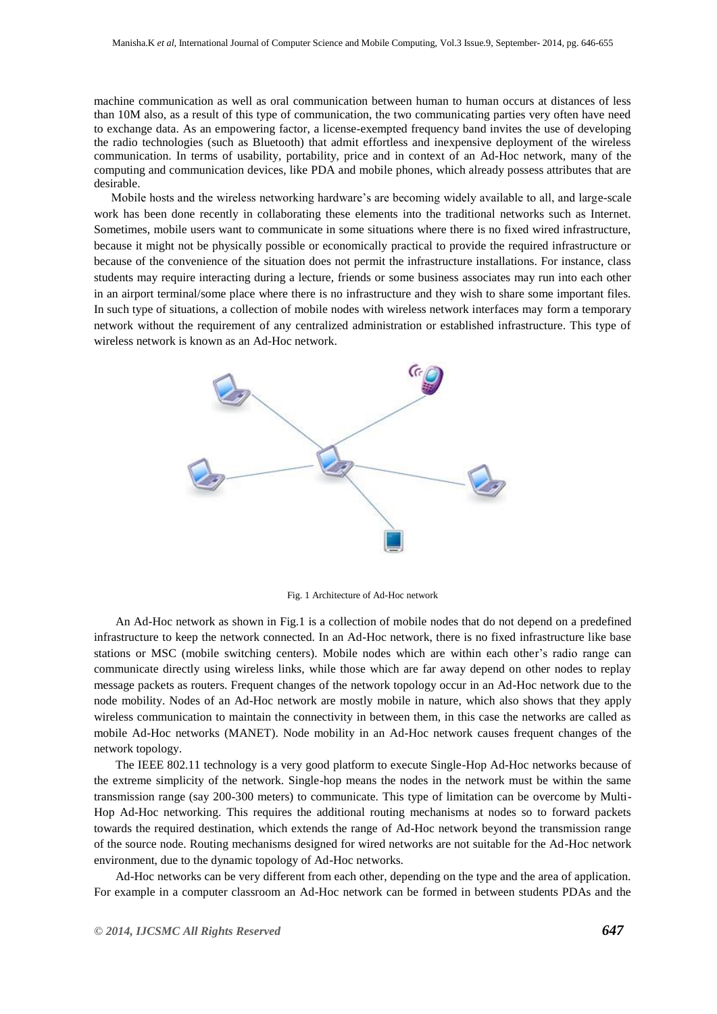machine communication as well as oral communication between human to human occurs at distances of less than 10M also, as a result of this type of communication, the two communicating parties very often have need to exchange data. As an empowering factor, a license-exempted frequency band invites the use of developing the radio technologies (such as Bluetooth) that admit effortless and inexpensive deployment of the wireless communication. In terms of usability, portability, price and in context of an Ad-Hoc network, many of the computing and communication devices, like PDA and mobile phones, which already possess attributes that are desirable.

Mobile hosts and the wireless networking hardware's are becoming widely available to all, and large-scale work has been done recently in collaborating these elements into the traditional networks such as Internet. Sometimes, mobile users want to communicate in some situations where there is no fixed wired infrastructure, because it might not be physically possible or economically practical to provide the required infrastructure or because of the convenience of the situation does not permit the infrastructure installations. For instance, class students may require interacting during a lecture, friends or some business associates may run into each other in an airport terminal/some place where there is no infrastructure and they wish to share some important files. In such type of situations, a collection of mobile nodes with wireless network interfaces may form a temporary network without the requirement of any centralized administration or established infrastructure. This type of wireless network is known as an Ad-Hoc network.



Fig. 1 Architecture of Ad-Hoc network

An Ad-Hoc network as shown in Fig.1 is a collection of mobile nodes that do not depend on a predefined infrastructure to keep the network connected. In an Ad-Hoc network, there is no fixed infrastructure like base stations or MSC (mobile switching centers). Mobile nodes which are within each other's radio range can communicate directly using wireless links, while those which are far away depend on other nodes to replay message packets as routers. Frequent changes of the network topology occur in an Ad-Hoc network due to the node mobility. Nodes of an Ad-Hoc network are mostly mobile in nature, which also shows that they apply wireless communication to maintain the connectivity in between them, in this case the networks are called as mobile Ad-Hoc networks (MANET). Node mobility in an Ad-Hoc network causes frequent changes of the network topology.

The IEEE 802.11 technology is a very good platform to execute Single-Hop Ad-Hoc networks because of the extreme simplicity of the network. Single-hop means the nodes in the network must be within the same transmission range (say 200-300 meters) to communicate. This type of limitation can be overcome by Multi-Hop Ad-Hoc networking. This requires the additional routing mechanisms at nodes so to forward packets towards the required destination, which extends the range of Ad-Hoc network beyond the transmission range of the source node. Routing mechanisms designed for wired networks are not suitable for the Ad-Hoc network environment, due to the dynamic topology of Ad-Hoc networks.

Ad-Hoc networks can be very different from each other, depending on the type and the area of application. For example in a computer classroom an Ad-Hoc network can be formed in between students PDAs and the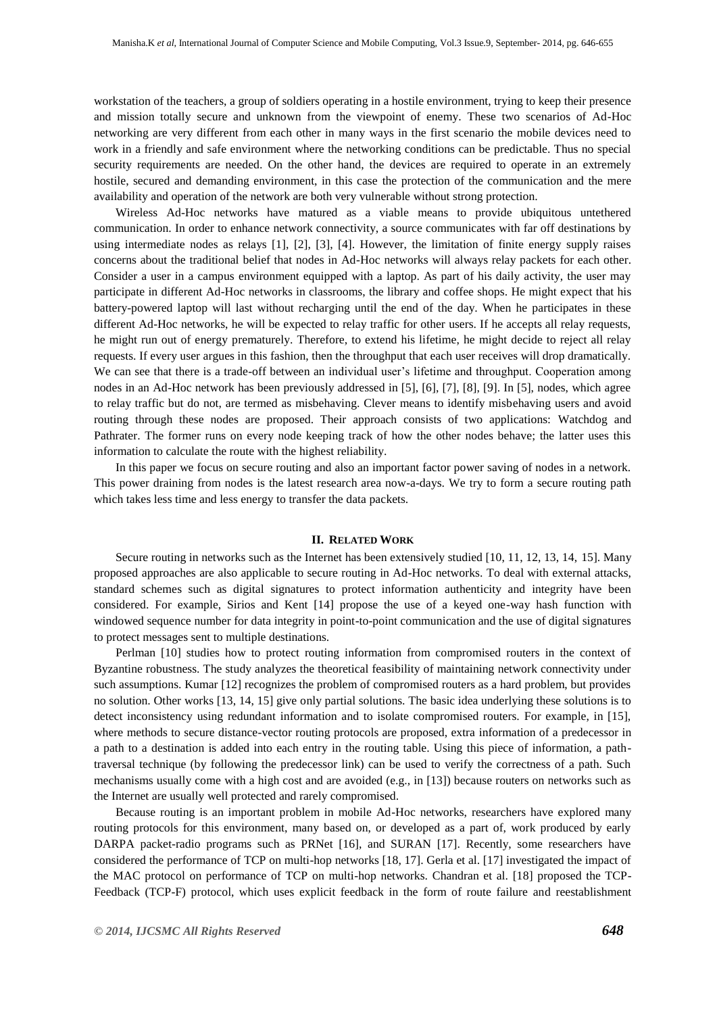workstation of the teachers, a group of soldiers operating in a hostile environment, trying to keep their presence and mission totally secure and unknown from the viewpoint of enemy. These two scenarios of Ad-Hoc networking are very different from each other in many ways in the first scenario the mobile devices need to work in a friendly and safe environment where the networking conditions can be predictable. Thus no special security requirements are needed. On the other hand, the devices are required to operate in an extremely hostile, secured and demanding environment, in this case the protection of the communication and the mere availability and operation of the network are both very vulnerable without strong protection.

Wireless Ad-Hoc networks have matured as a viable means to provide ubiquitous untethered communication. In order to enhance network connectivity, a source communicates with far off destinations by using intermediate nodes as relays [1], [2], [3], [4]. However, the limitation of finite energy supply raises concerns about the traditional belief that nodes in Ad-Hoc networks will always relay packets for each other. Consider a user in a campus environment equipped with a laptop. As part of his daily activity, the user may participate in different Ad-Hoc networks in classrooms, the library and coffee shops. He might expect that his battery-powered laptop will last without recharging until the end of the day. When he participates in these different Ad-Hoc networks, he will be expected to relay traffic for other users. If he accepts all relay requests, he might run out of energy prematurely. Therefore, to extend his lifetime, he might decide to reject all relay requests. If every user argues in this fashion, then the throughput that each user receives will drop dramatically. We can see that there is a trade-off between an individual user's lifetime and throughput. Cooperation among nodes in an Ad-Hoc network has been previously addressed in [5], [6], [7], [8], [9]. In [5], nodes, which agree to relay traffic but do not, are termed as misbehaving. Clever means to identify misbehaving users and avoid routing through these nodes are proposed. Their approach consists of two applications: Watchdog and Pathrater. The former runs on every node keeping track of how the other nodes behave; the latter uses this information to calculate the route with the highest reliability.

In this paper we focus on secure routing and also an important factor power saving of nodes in a network. This power draining from nodes is the latest research area now-a-days. We try to form a secure routing path which takes less time and less energy to transfer the data packets.

#### **II. RELATED WORK**

Secure routing in networks such as the Internet has been extensively studied [10, 11, 12, 13, 14, 15]. Many proposed approaches are also applicable to secure routing in Ad-Hoc networks. To deal with external attacks, standard schemes such as digital signatures to protect information authenticity and integrity have been considered. For example, Sirios and Kent [14] propose the use of a keyed one-way hash function with windowed sequence number for data integrity in point-to-point communication and the use of digital signatures to protect messages sent to multiple destinations.

Perlman [10] studies how to protect routing information from compromised routers in the context of Byzantine robustness. The study analyzes the theoretical feasibility of maintaining network connectivity under such assumptions. Kumar [12] recognizes the problem of compromised routers as a hard problem, but provides no solution. Other works [13, 14, 15] give only partial solutions. The basic idea underlying these solutions is to detect inconsistency using redundant information and to isolate compromised routers. For example, in [15], where methods to secure distance-vector routing protocols are proposed, extra information of a predecessor in a path to a destination is added into each entry in the routing table. Using this piece of information, a pathtraversal technique (by following the predecessor link) can be used to verify the correctness of a path. Such mechanisms usually come with a high cost and are avoided (e.g., in [13]) because routers on networks such as the Internet are usually well protected and rarely compromised.

Because routing is an important problem in mobile Ad-Hoc networks, researchers have explored many routing protocols for this environment, many based on, or developed as a part of, work produced by early DARPA packet-radio programs such as PRNet [16], and SURAN [17]. Recently, some researchers have considered the performance of TCP on multi-hop networks [18, 17]. Gerla et al. [17] investigated the impact of the MAC protocol on performance of TCP on multi-hop networks. Chandran et al. [18] proposed the TCP-Feedback (TCP-F) protocol, which uses explicit feedback in the form of route failure and reestablishment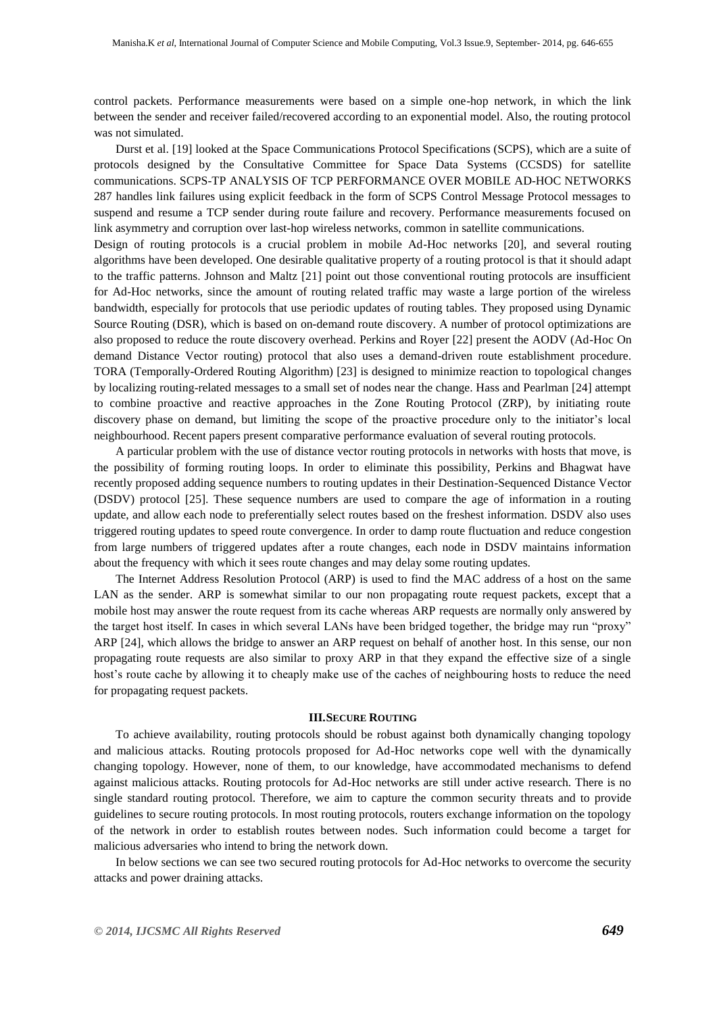control packets. Performance measurements were based on a simple one-hop network, in which the link between the sender and receiver failed/recovered according to an exponential model. Also, the routing protocol was not simulated.

Durst et al. [19] looked at the Space Communications Protocol Specifications (SCPS), which are a suite of protocols designed by the Consultative Committee for Space Data Systems (CCSDS) for satellite communications. SCPS-TP ANALYSIS OF TCP PERFORMANCE OVER MOBILE AD-HOC NETWORKS 287 handles link failures using explicit feedback in the form of SCPS Control Message Protocol messages to suspend and resume a TCP sender during route failure and recovery. Performance measurements focused on link asymmetry and corruption over last-hop wireless networks, common in satellite communications.

Design of routing protocols is a crucial problem in mobile Ad-Hoc networks [20], and several routing algorithms have been developed. One desirable qualitative property of a routing protocol is that it should adapt to the traffic patterns. Johnson and Maltz [21] point out those conventional routing protocols are insufficient for Ad-Hoc networks, since the amount of routing related traffic may waste a large portion of the wireless bandwidth, especially for protocols that use periodic updates of routing tables. They proposed using Dynamic Source Routing (DSR), which is based on on-demand route discovery. A number of protocol optimizations are also proposed to reduce the route discovery overhead. Perkins and Royer [22] present the AODV (Ad-Hoc On demand Distance Vector routing) protocol that also uses a demand-driven route establishment procedure. TORA (Temporally-Ordered Routing Algorithm) [23] is designed to minimize reaction to topological changes by localizing routing-related messages to a small set of nodes near the change. Hass and Pearlman [24] attempt to combine proactive and reactive approaches in the Zone Routing Protocol (ZRP), by initiating route discovery phase on demand, but limiting the scope of the proactive procedure only to the initiator's local neighbourhood. Recent papers present comparative performance evaluation of several routing protocols.

A particular problem with the use of distance vector routing protocols in networks with hosts that move, is the possibility of forming routing loops. In order to eliminate this possibility, Perkins and Bhagwat have recently proposed adding sequence numbers to routing updates in their Destination-Sequenced Distance Vector (DSDV) protocol [25]. These sequence numbers are used to compare the age of information in a routing update, and allow each node to preferentially select routes based on the freshest information. DSDV also uses triggered routing updates to speed route convergence. In order to damp route fluctuation and reduce congestion from large numbers of triggered updates after a route changes, each node in DSDV maintains information about the frequency with which it sees route changes and may delay some routing updates.

The Internet Address Resolution Protocol (ARP) is used to find the MAC address of a host on the same LAN as the sender. ARP is somewhat similar to our non propagating route request packets, except that a mobile host may answer the route request from its cache whereas ARP requests are normally only answered by the target host itself. In cases in which several LANs have been bridged together, the bridge may run "proxy" ARP [24], which allows the bridge to answer an ARP request on behalf of another host. In this sense, our non propagating route requests are also similar to proxy ARP in that they expand the effective size of a single host's route cache by allowing it to cheaply make use of the caches of neighbouring hosts to reduce the need for propagating request packets.

# **III.SECURE ROUTING**

To achieve availability, routing protocols should be robust against both dynamically changing topology and malicious attacks. Routing protocols proposed for Ad-Hoc networks cope well with the dynamically changing topology. However, none of them, to our knowledge, have accommodated mechanisms to defend against malicious attacks. Routing protocols for Ad-Hoc networks are still under active research. There is no single standard routing protocol. Therefore, we aim to capture the common security threats and to provide guidelines to secure routing protocols. In most routing protocols, routers exchange information on the topology of the network in order to establish routes between nodes. Such information could become a target for malicious adversaries who intend to bring the network down.

In below sections we can see two secured routing protocols for Ad-Hoc networks to overcome the security attacks and power draining attacks.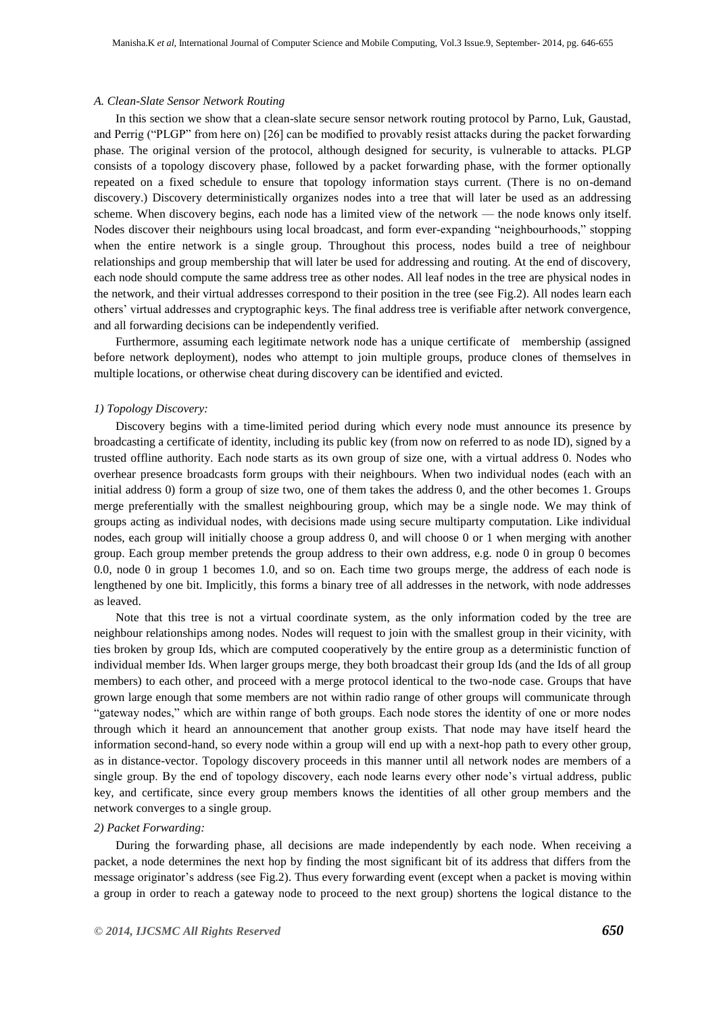## *A. Clean-Slate Sensor Network Routing*

In this section we show that a clean-slate secure sensor network routing protocol by Parno, Luk, Gaustad, and Perrig ("PLGP" from here on) [26] can be modified to provably resist attacks during the packet forwarding phase. The original version of the protocol, although designed for security, is vulnerable to attacks. PLGP consists of a topology discovery phase, followed by a packet forwarding phase, with the former optionally repeated on a fixed schedule to ensure that topology information stays current. (There is no on-demand discovery.) Discovery deterministically organizes nodes into a tree that will later be used as an addressing scheme. When discovery begins, each node has a limited view of the network — the node knows only itself. Nodes discover their neighbours using local broadcast, and form ever-expanding "neighbourhoods," stopping when the entire network is a single group. Throughout this process, nodes build a tree of neighbour relationships and group membership that will later be used for addressing and routing. At the end of discovery, each node should compute the same address tree as other nodes. All leaf nodes in the tree are physical nodes in the network, and their virtual addresses correspond to their position in the tree (see Fig.2). All nodes learn each others' virtual addresses and cryptographic keys. The final address tree is verifiable after network convergence, and all forwarding decisions can be independently verified.

Furthermore, assuming each legitimate network node has a unique certificate of membership (assigned before network deployment), nodes who attempt to join multiple groups, produce clones of themselves in multiple locations, or otherwise cheat during discovery can be identified and evicted.

#### *1) Topology Discovery:*

Discovery begins with a time-limited period during which every node must announce its presence by broadcasting a certificate of identity, including its public key (from now on referred to as node ID), signed by a trusted offline authority. Each node starts as its own group of size one, with a virtual address 0. Nodes who overhear presence broadcasts form groups with their neighbours. When two individual nodes (each with an initial address 0) form a group of size two, one of them takes the address 0, and the other becomes 1. Groups merge preferentially with the smallest neighbouring group, which may be a single node. We may think of groups acting as individual nodes, with decisions made using secure multiparty computation. Like individual nodes, each group will initially choose a group address 0, and will choose 0 or 1 when merging with another group. Each group member pretends the group address to their own address, e.g. node 0 in group 0 becomes 0.0, node 0 in group 1 becomes 1.0, and so on. Each time two groups merge, the address of each node is lengthened by one bit. Implicitly, this forms a binary tree of all addresses in the network, with node addresses as leaved.

Note that this tree is not a virtual coordinate system, as the only information coded by the tree are neighbour relationships among nodes. Nodes will request to join with the smallest group in their vicinity, with ties broken by group Ids, which are computed cooperatively by the entire group as a deterministic function of individual member Ids. When larger groups merge, they both broadcast their group Ids (and the Ids of all group members) to each other, and proceed with a merge protocol identical to the two-node case. Groups that have grown large enough that some members are not within radio range of other groups will communicate through "gateway nodes," which are within range of both groups. Each node stores the identity of one or more nodes through which it heard an announcement that another group exists. That node may have itself heard the information second-hand, so every node within a group will end up with a next-hop path to every other group, as in distance-vector. Topology discovery proceeds in this manner until all network nodes are members of a single group. By the end of topology discovery, each node learns every other node's virtual address, public key, and certificate, since every group members knows the identities of all other group members and the network converges to a single group.

## *2) Packet Forwarding:*

During the forwarding phase, all decisions are made independently by each node. When receiving a packet, a node determines the next hop by finding the most significant bit of its address that differs from the message originator's address (see Fig.2). Thus every forwarding event (except when a packet is moving within a group in order to reach a gateway node to proceed to the next group) shortens the logical distance to the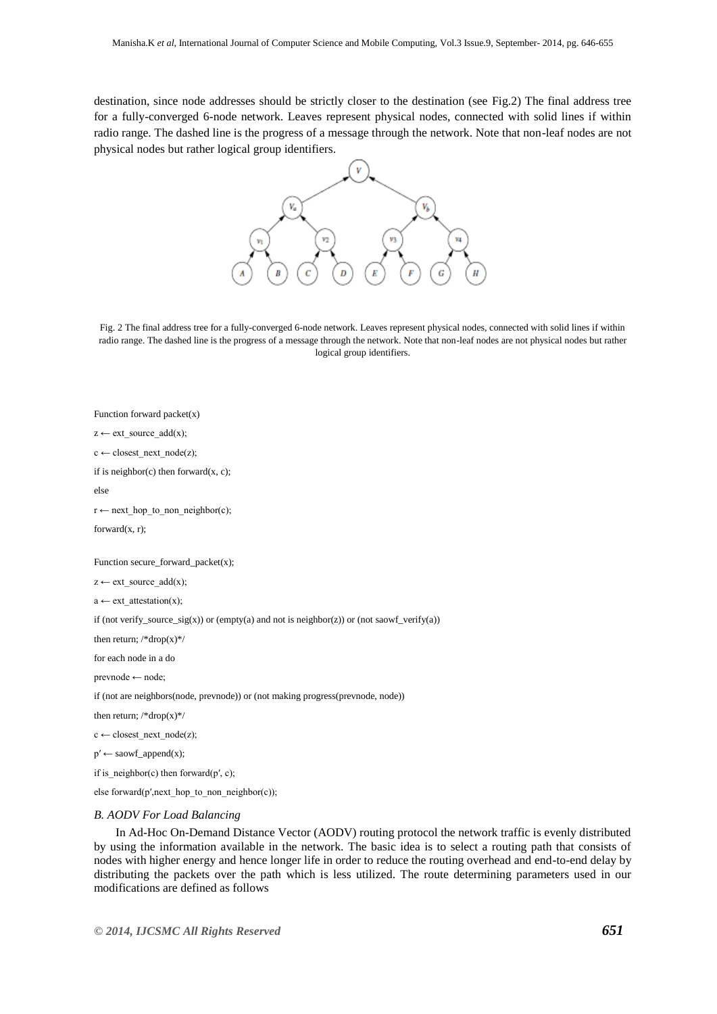destination, since node addresses should be strictly closer to the destination (see Fig.2) The final address tree for a fully-converged 6-node network. Leaves represent physical nodes, connected with solid lines if within radio range. The dashed line is the progress of a message through the network. Note that non-leaf nodes are not physical nodes but rather logical group identifiers.



Fig. 2 The final address tree for a fully-converged 6-node network. Leaves represent physical nodes, connected with solid lines if within radio range. The dashed line is the progress of a message through the network. Note that non-leaf nodes are not physical nodes but rather logical group identifiers.

Function forward packet(x)  $z \leftarrow ext\_source\_add(x);$  $c \leftarrow closest\_next\_node(z);$ if is neighbor(c) then forward $(x, c)$ ; else  $r \leftarrow$  next hop to non neighbor(c); forward $(x, r)$ : Function secure\_forward\_packet(x);  $z \leftarrow ext$  source add(x);  $a \leftarrow ext$  attestation(x); if (not verify\_source\_sig(x)) or (empty(a) and not is neighbor(z)) or (not saowf\_verify(a)) then return;  $/* drop(x)*/$ for each node in a do prevnode ← node; if (not are neighbors(node, prevnode)) or (not making progress(prevnode, node)) then return;  $/* drop(x)*/$  $c \leftarrow$  closest next node(z);  $p' \leftarrow$  saowf\_append(x); if is\_neighbor(c) then forward( $p'$ , c); else forward(p′,next\_hop\_to\_non\_neighbor(c));

# *B. AODV For Load Balancing*

In Ad-Hoc On-Demand Distance Vector (AODV) routing protocol the network traffic is evenly distributed by using the information available in the network. The basic idea is to select a routing path that consists of nodes with higher energy and hence longer life in order to reduce the routing overhead and end-to-end delay by distributing the packets over the path which is less utilized. The route determining parameters used in our modifications are defined as follows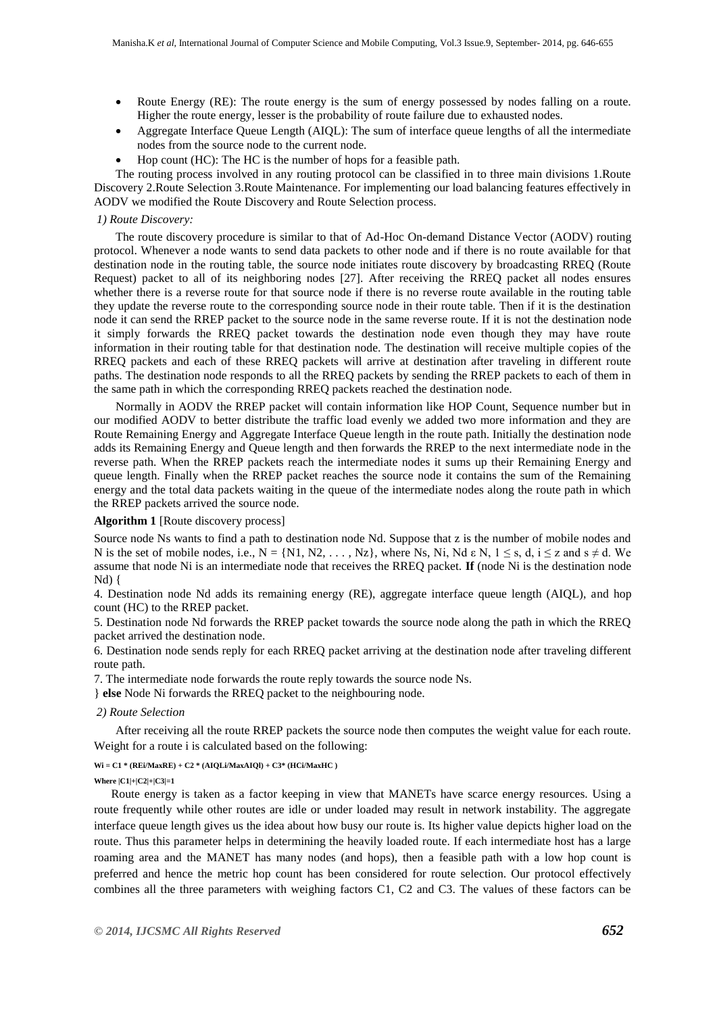- Route Energy (RE): The route energy is the sum of energy possessed by nodes falling on a route. Higher the route energy, lesser is the probability of route failure due to exhausted nodes.
- Aggregate Interface Queue Length (AIQL): The sum of interface queue lengths of all the intermediate nodes from the source node to the current node.
- Hop count (HC): The HC is the number of hops for a feasible path.

The routing process involved in any routing protocol can be classified in to three main divisions 1.Route Discovery 2.Route Selection 3.Route Maintenance. For implementing our load balancing features effectively in AODV we modified the Route Discovery and Route Selection process.

#### *1) Route Discovery:*

The route discovery procedure is similar to that of Ad-Hoc On-demand Distance Vector (AODV) routing protocol. Whenever a node wants to send data packets to other node and if there is no route available for that destination node in the routing table, the source node initiates route discovery by broadcasting RREQ (Route Request) packet to all of its neighboring nodes [27]. After receiving the RREQ packet all nodes ensures whether there is a reverse route for that source node if there is no reverse route available in the routing table they update the reverse route to the corresponding source node in their route table. Then if it is the destination node it can send the RREP packet to the source node in the same reverse route. If it is not the destination node it simply forwards the RREQ packet towards the destination node even though they may have route information in their routing table for that destination node. The destination will receive multiple copies of the RREQ packets and each of these RREQ packets will arrive at destination after traveling in different route paths. The destination node responds to all the RREQ packets by sending the RREP packets to each of them in the same path in which the corresponding RREQ packets reached the destination node.

Normally in AODV the RREP packet will contain information like HOP Count, Sequence number but in our modified AODV to better distribute the traffic load evenly we added two more information and they are Route Remaining Energy and Aggregate Interface Queue length in the route path. Initially the destination node adds its Remaining Energy and Queue length and then forwards the RREP to the next intermediate node in the reverse path. When the RREP packets reach the intermediate nodes it sums up their Remaining Energy and queue length. Finally when the RREP packet reaches the source node it contains the sum of the Remaining energy and the total data packets waiting in the queue of the intermediate nodes along the route path in which the RREP packets arrived the source node.

#### **Algorithm 1** [Route discovery process]

Source node Ns wants to find a path to destination node Nd. Suppose that z is the number of mobile nodes and N is the set of mobile nodes, i.e.,  $N = \{N1, N2, \ldots, Nz\}$ , where Ns, Ni, Nd  $\varepsilon$  N,  $1 \le s$ , d,  $i \le z$  and  $s \ne d$ . We assume that node Ni is an intermediate node that receives the RREQ packet. **If** (node Ni is the destination node  $Nd)$  {

4. Destination node Nd adds its remaining energy (RE), aggregate interface queue length (AIQL), and hop count (HC) to the RREP packet.

5. Destination node Nd forwards the RREP packet towards the source node along the path in which the RREQ packet arrived the destination node.

6. Destination node sends reply for each RREQ packet arriving at the destination node after traveling different route path.

7. The intermediate node forwards the route reply towards the source node Ns.

} **else** Node Ni forwards the RREQ packet to the neighbouring node.

#### *2) Route Selection*

After receiving all the route RREP packets the source node then computes the weight value for each route. Weight for a route i is calculated based on the following:

**Wi = C1 \* (REi/MaxRE) + C2 \* (AIQLi/MaxAIQl) + C3\* (HCi/MaxHC )** 

**Where |C1|+|C2|+|C3|=1** 

Route energy is taken as a factor keeping in view that MANETs have scarce energy resources. Using a route frequently while other routes are idle or under loaded may result in network instability. The aggregate interface queue length gives us the idea about how busy our route is. Its higher value depicts higher load on the route. Thus this parameter helps in determining the heavily loaded route. If each intermediate host has a large roaming area and the MANET has many nodes (and hops), then a feasible path with a low hop count is preferred and hence the metric hop count has been considered for route selection. Our protocol effectively combines all the three parameters with weighing factors C1, C2 and C3. The values of these factors can be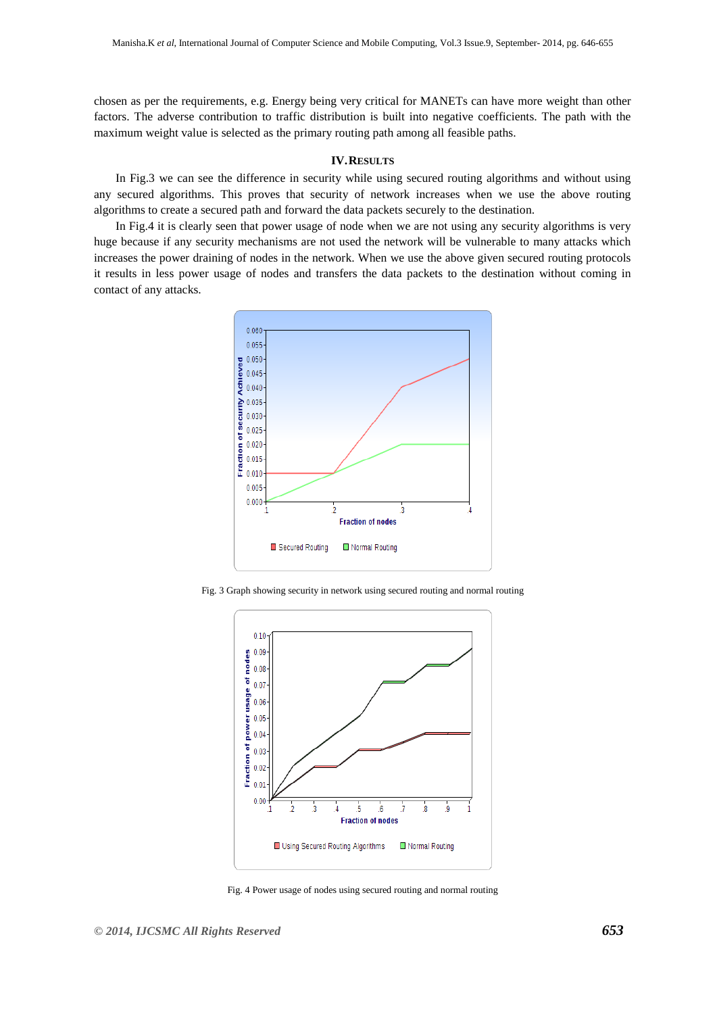chosen as per the requirements, e.g. Energy being very critical for MANETs can have more weight than other factors. The adverse contribution to traffic distribution is built into negative coefficients. The path with the maximum weight value is selected as the primary routing path among all feasible paths.

## **IV.RESULTS**

In Fig.3 we can see the difference in security while using secured routing algorithms and without using any secured algorithms. This proves that security of network increases when we use the above routing algorithms to create a secured path and forward the data packets securely to the destination.

In Fig.4 it is clearly seen that power usage of node when we are not using any security algorithms is very huge because if any security mechanisms are not used the network will be vulnerable to many attacks which increases the power draining of nodes in the network. When we use the above given secured routing protocols it results in less power usage of nodes and transfers the data packets to the destination without coming in contact of any attacks.



Fig. 3 Graph showing security in network using secured routing and normal routing



Fig. 4 Power usage of nodes using secured routing and normal routing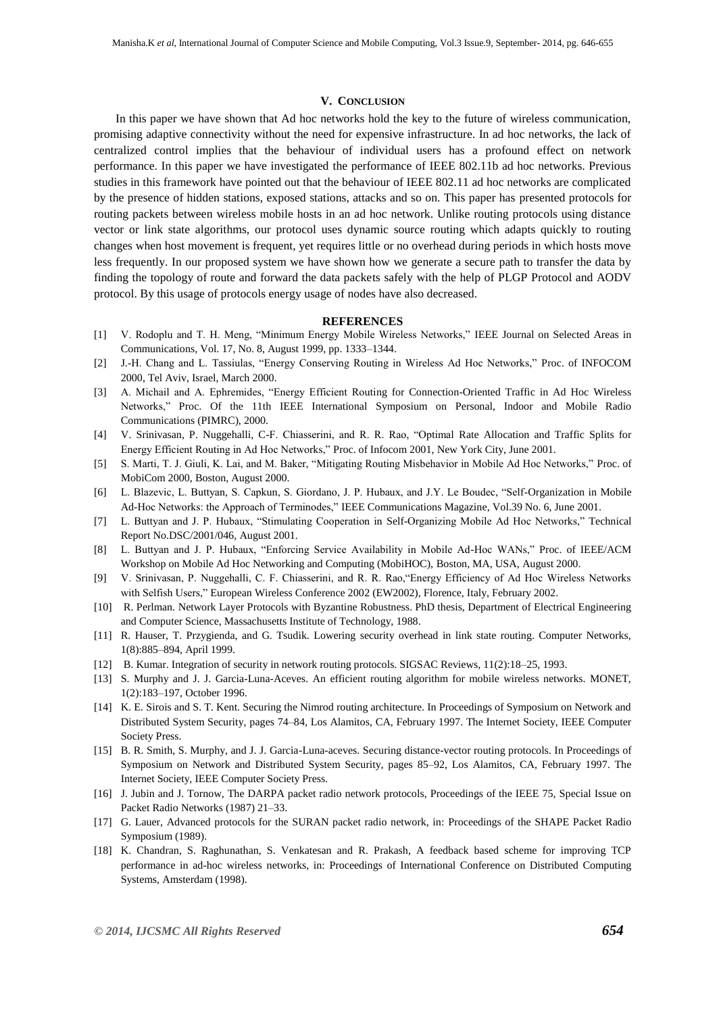#### **V. CONCLUSION**

In this paper we have shown that Ad hoc networks hold the key to the future of wireless communication, promising adaptive connectivity without the need for expensive infrastructure. In ad hoc networks, the lack of centralized control implies that the behaviour of individual users has a profound effect on network performance. In this paper we have investigated the performance of IEEE 802.11b ad hoc networks. Previous studies in this framework have pointed out that the behaviour of IEEE 802.11 ad hoc networks are complicated by the presence of hidden stations, exposed stations, attacks and so on. This paper has presented protocols for routing packets between wireless mobile hosts in an ad hoc network. Unlike routing protocols using distance vector or link state algorithms, our protocol uses dynamic source routing which adapts quickly to routing changes when host movement is frequent, yet requires little or no overhead during periods in which hosts move less frequently. In our proposed system we have shown how we generate a secure path to transfer the data by finding the topology of route and forward the data packets safely with the help of PLGP Protocol and AODV protocol. By this usage of protocols energy usage of nodes have also decreased.

#### **REFERENCES**

- [1] V. Rodoplu and T. H. Meng, "Minimum Energy Mobile Wireless Networks," IEEE Journal on Selected Areas in Communications, Vol. 17, No. 8, August 1999, pp. 1333–1344.
- [2] J.-H. Chang and L. Tassiulas, "Energy Conserving Routing in Wireless Ad Hoc Networks," Proc. of INFOCOM 2000, Tel Aviv, Israel, March 2000.
- [3] A. Michail and A. Ephremides, "Energy Efficient Routing for Connection-Oriented Traffic in Ad Hoc Wireless Networks," Proc. Of the 11th IEEE International Symposium on Personal, Indoor and Mobile Radio Communications (PIMRC), 2000.
- [4] V. Srinivasan, P. Nuggehalli, C-F. Chiasserini, and R. R. Rao, "Optimal Rate Allocation and Traffic Splits for Energy Efficient Routing in Ad Hoc Networks," Proc. of Infocom 2001, New York City, June 2001.
- [5] S. Marti, T. J. Giuli, K. Lai, and M. Baker, "Mitigating Routing Misbehavior in Mobile Ad Hoc Networks," Proc. of MobiCom 2000, Boston, August 2000.
- [6] L. Blazevic, L. Buttyan, S. Capkun, S. Giordano, J. P. Hubaux, and J.Y. Le Boudec, "Self-Organization in Mobile Ad-Hoc Networks: the Approach of Terminodes," IEEE Communications Magazine, Vol.39 No. 6, June 2001.
- [7] L. Buttyan and J. P. Hubaux, "Stimulating Cooperation in Self-Organizing Mobile Ad Hoc Networks," Technical Report No.DSC/2001/046, August 2001.
- [8] L. Buttyan and J. P. Hubaux, "Enforcing Service Availability in Mobile Ad-Hoc WANs," Proc. of IEEE/ACM Workshop on Mobile Ad Hoc Networking and Computing (MobiHOC), Boston, MA, USA, August 2000.
- [9] V. Srinivasan, P. Nuggehalli, C. F. Chiasserini, and R. R. Rao, "Energy Efficiency of Ad Hoc Wireless Networks with Selfish Users," European Wireless Conference 2002 (EW2002), Florence, Italy, February 2002.
- [10] R. Perlman. Network Layer Protocols with Byzantine Robustness. PhD thesis, Department of Electrical Engineering and Computer Science, Massachusetts Institute of Technology, 1988.
- [11] R. Hauser, T. Przygienda, and G. Tsudik. Lowering security overhead in link state routing. Computer Networks, 1(8):885–894, April 1999.
- [12] B. Kumar. Integration of security in network routing protocols. SIGSAC Reviews, 11(2):18–25, 1993.
- [13] S. Murphy and J. J. Garcia-Luna-Aceves. An efficient routing algorithm for mobile wireless networks. MONET, 1(2):183–197, October 1996.
- [14] K. E. Sirois and S. T. Kent. Securing the Nimrod routing architecture. In Proceedings of Symposium on Network and Distributed System Security, pages 74–84, Los Alamitos, CA, February 1997. The Internet Society, IEEE Computer Society Press.
- [15] B. R. Smith, S. Murphy, and J. J. Garcia-Luna-aceves. Securing distance-vector routing protocols. In Proceedings of Symposium on Network and Distributed System Security, pages 85–92, Los Alamitos, CA, February 1997. The Internet Society, IEEE Computer Society Press.
- [16] J. Jubin and J. Tornow, The DARPA packet radio network protocols, Proceedings of the IEEE 75, Special Issue on Packet Radio Networks (1987) 21–33.
- [17] G. Lauer, Advanced protocols for the SURAN packet radio network, in: Proceedings of the SHAPE Packet Radio Symposium (1989).
- [18] K. Chandran, S. Raghunathan, S. Venkatesan and R. Prakash, A feedback based scheme for improving TCP performance in ad-hoc wireless networks, in: Proceedings of International Conference on Distributed Computing Systems, Amsterdam (1998).